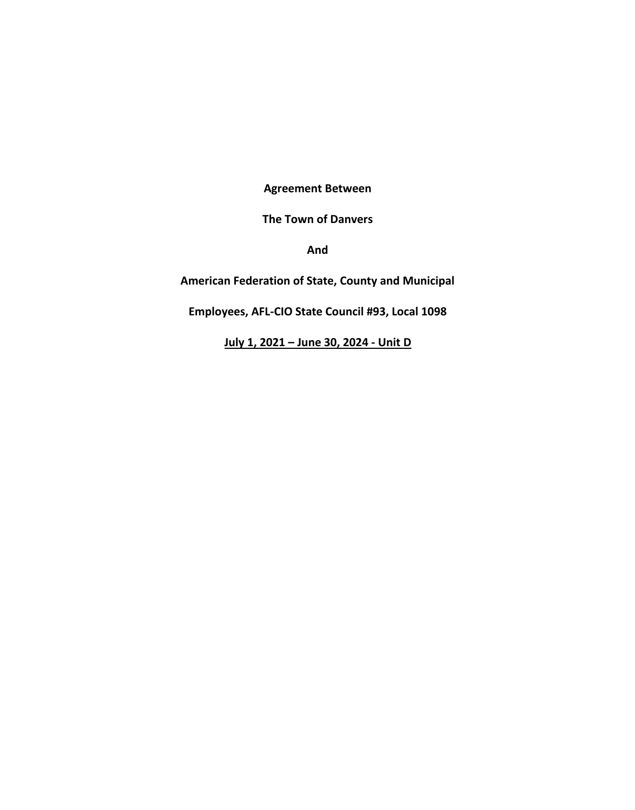**Agreement Between** 

**The Town of Danvers** 

**And** 

**American Federation of State, County and Municipal** 

**Employees, AFL-CIO State Council #93, Local 1098**

**July 1, 2021 – June 30, 2024 - Unit D**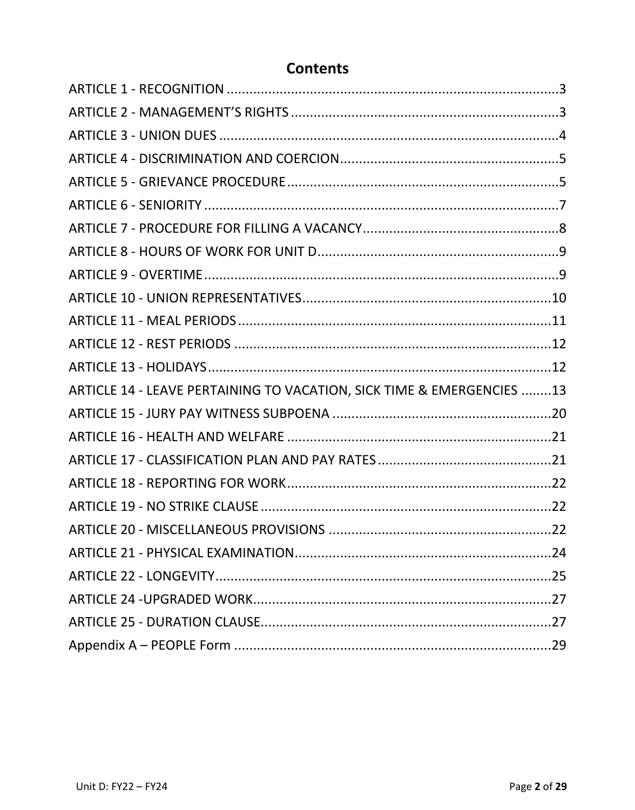# **Contents**

| ARTICLE 14 - LEAVE PERTAINING TO VACATION, SICK TIME & EMERGENCIES 13 |  |
|-----------------------------------------------------------------------|--|
|                                                                       |  |
|                                                                       |  |
|                                                                       |  |
|                                                                       |  |
|                                                                       |  |
|                                                                       |  |
|                                                                       |  |
|                                                                       |  |
|                                                                       |  |
|                                                                       |  |
|                                                                       |  |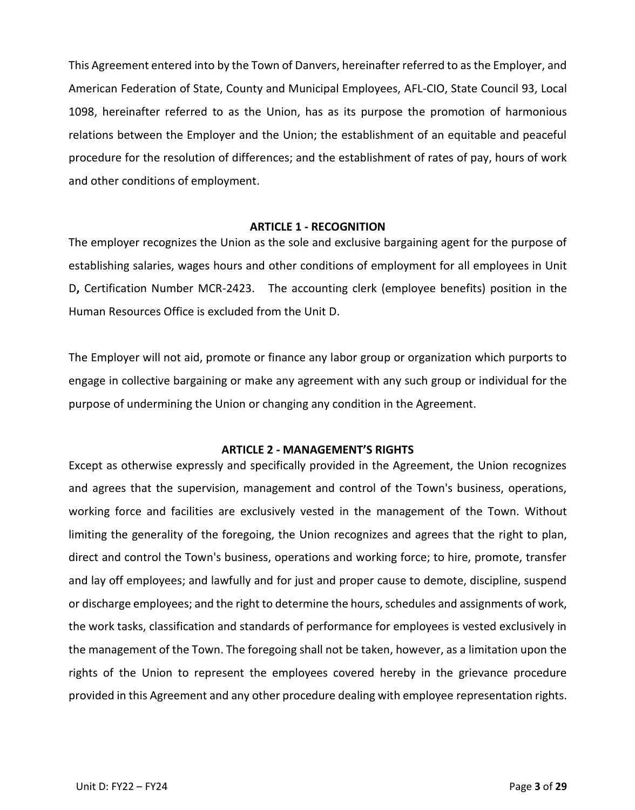This Agreement entered into by the Town of Danvers, hereinafter referred to as the Employer, and American Federation of State, County and Municipal Employees, AFL-CIO, State Council 93, Local 1098, hereinafter referred to as the Union, has as its purpose the promotion of harmonious relations between the Employer and the Union; the establishment of an equitable and peaceful procedure for the resolution of differences; and the establishment of rates of pay, hours of work and other conditions of employment.

### **ARTICLE 1 - RECOGNITION**

<span id="page-2-0"></span>The employer recognizes the Union as the sole and exclusive bargaining agent for the purpose of establishing salaries, wages hours and other conditions of employment for all employees in Unit D**,** Certification Number MCR-2423. The accounting clerk (employee benefits) position in the Human Resources Office is excluded from the Unit D.

The Employer will not aid, promote or finance any labor group or organization which purports to engage in collective bargaining or make any agreement with any such group or individual for the purpose of undermining the Union or changing any condition in the Agreement.

### **ARTICLE 2 - MANAGEMENT'S RIGHTS**

<span id="page-2-1"></span>Except as otherwise expressly and specifically provided in the Agreement, the Union recognizes and agrees that the supervision, management and control of the Town's business, operations, working force and facilities are exclusively vested in the management of the Town. Without limiting the generality of the foregoing, the Union recognizes and agrees that the right to plan, direct and control the Town's business, operations and working force; to hire, promote, transfer and lay off employees; and lawfully and for just and proper cause to demote, discipline, suspend or discharge employees; and the right to determine the hours, schedules and assignments of work, the work tasks, classification and standards of performance for employees is vested exclusively in the management of the Town. The foregoing shall not be taken, however, as a limitation upon the rights of the Union to represent the employees covered hereby in the grievance procedure provided in this Agreement and any other procedure dealing with employee representation rights.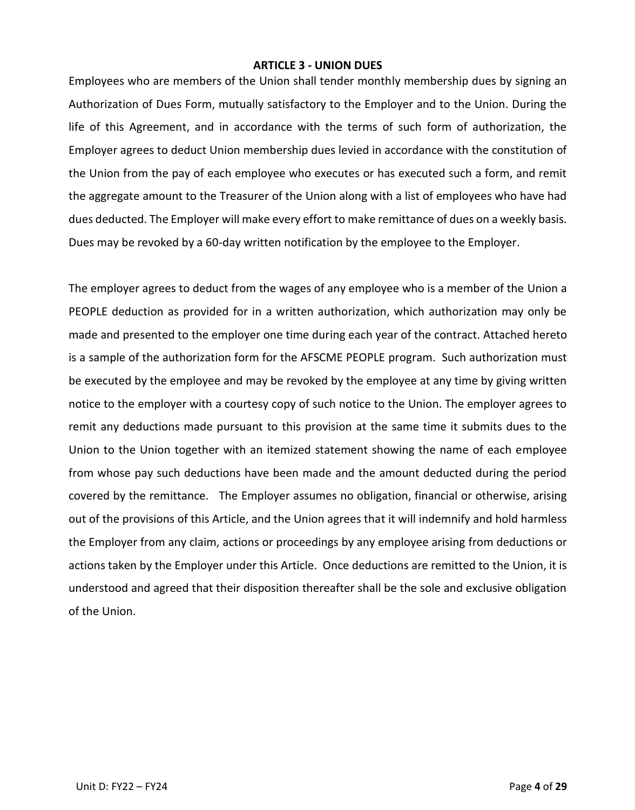### **ARTICLE 3 - UNION DUES**

<span id="page-3-0"></span>Employees who are members of the Union shall tender monthly membership dues by signing an Authorization of Dues Form, mutually satisfactory to the Employer and to the Union. During the life of this Agreement, and in accordance with the terms of such form of authorization, the Employer agrees to deduct Union membership dues levied in accordance with the constitution of the Union from the pay of each employee who executes or has executed such a form, and remit the aggregate amount to the Treasurer of the Union along with a list of employees who have had dues deducted. The Employer will make every effort to make remittance of dues on a weekly basis. Dues may be revoked by a 60-day written notification by the employee to the Employer.

The employer agrees to deduct from the wages of any employee who is a member of the Union a PEOPLE deduction as provided for in a written authorization, which authorization may only be made and presented to the employer one time during each year of the contract. Attached hereto is a sample of the authorization form for the AFSCME PEOPLE program. Such authorization must be executed by the employee and may be revoked by the employee at any time by giving written notice to the employer with a courtesy copy of such notice to the Union. The employer agrees to remit any deductions made pursuant to this provision at the same time it submits dues to the Union to the Union together with an itemized statement showing the name of each employee from whose pay such deductions have been made and the amount deducted during the period covered by the remittance. The Employer assumes no obligation, financial or otherwise, arising out of the provisions of this Article, and the Union agrees that it will indemnify and hold harmless the Employer from any claim, actions or proceedings by any employee arising from deductions or actions taken by the Employer under this Article. Once deductions are remitted to the Union, it is understood and agreed that their disposition thereafter shall be the sole and exclusive obligation of the Union.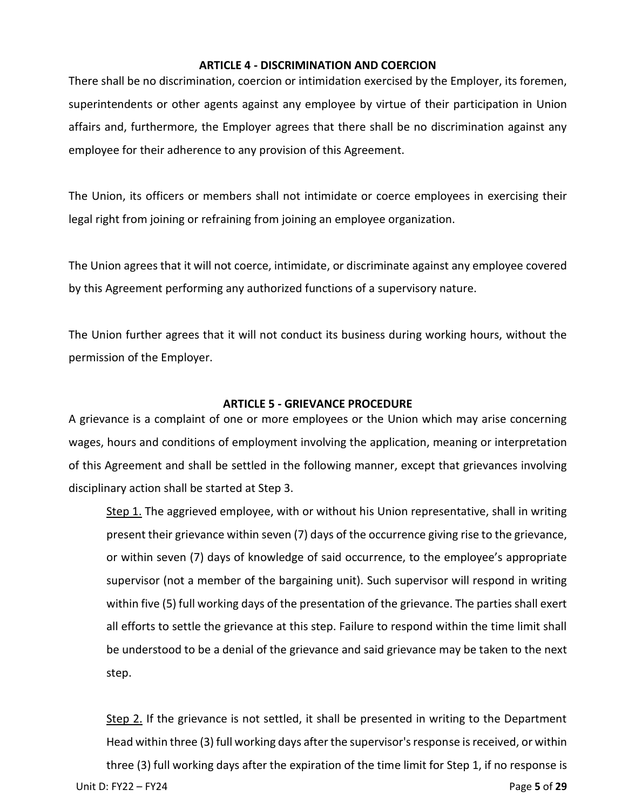### **ARTICLE 4 - DISCRIMINATION AND COERCION**

<span id="page-4-0"></span>There shall be no discrimination, coercion or intimidation exercised by the Employer, its foremen, superintendents or other agents against any employee by virtue of their participation in Union affairs and, furthermore, the Employer agrees that there shall be no discrimination against any employee for their adherence to any provision of this Agreement.

The Union, its officers or members shall not intimidate or coerce employees in exercising their legal right from joining or refraining from joining an employee organization.

The Union agrees that it will not coerce, intimidate, or discriminate against any employee covered by this Agreement performing any authorized functions of a supervisory nature.

The Union further agrees that it will not conduct its business during working hours, without the permission of the Employer.

### **ARTICLE 5 - GRIEVANCE PROCEDURE**

<span id="page-4-1"></span>A grievance is a complaint of one or more employees or the Union which may arise concerning wages, hours and conditions of employment involving the application, meaning or interpretation of this Agreement and shall be settled in the following manner, except that grievances involving disciplinary action shall be started at Step 3.

Step 1. The aggrieved employee, with or without his Union representative, shall in writing present their grievance within seven (7) days of the occurrence giving rise to the grievance, or within seven (7) days of knowledge of said occurrence, to the employee's appropriate supervisor (not a member of the bargaining unit). Such supervisor will respond in writing within five (5) full working days of the presentation of the grievance. The parties shall exert all efforts to settle the grievance at this step. Failure to respond within the time limit shall be understood to be a denial of the grievance and said grievance may be taken to the next step.

Unit D: FY22 – FY24 Page **5** of **29** Step 2. If the grievance is not settled, it shall be presented in writing to the Department Head within three (3) full working days after the supervisor's response is received, or within three (3) full working days after the expiration of the time limit for Step 1, if no response is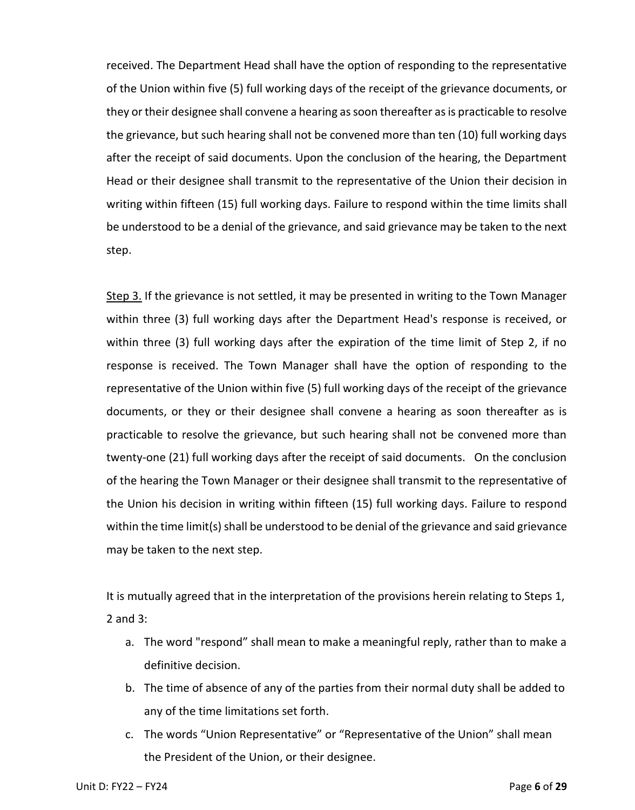received. The Department Head shall have the option of responding to the representative of the Union within five (5) full working days of the receipt of the grievance documents, or they or their designee shall convene a hearing as soon thereafter as is practicable to resolve the grievance, but such hearing shall not be convened more than ten (10) full working days after the receipt of said documents. Upon the conclusion of the hearing, the Department Head or their designee shall transmit to the representative of the Union their decision in writing within fifteen (15) full working days. Failure to respond within the time limits shall be understood to be a denial of the grievance, and said grievance may be taken to the next step.

Step 3. If the grievance is not settled, it may be presented in writing to the Town Manager within three (3) full working days after the Department Head's response is received, or within three (3) full working days after the expiration of the time limit of Step 2, if no response is received. The Town Manager shall have the option of responding to the representative of the Union within five (5) full working days of the receipt of the grievance documents, or they or their designee shall convene a hearing as soon thereafter as is practicable to resolve the grievance, but such hearing shall not be convened more than twenty-one (21) full working days after the receipt of said documents. On the conclusion of the hearing the Town Manager or their designee shall transmit to the representative of the Union his decision in writing within fifteen (15) full working days. Failure to respond within the time limit(s) shall be understood to be denial of the grievance and said grievance may be taken to the next step.

It is mutually agreed that in the interpretation of the provisions herein relating to Steps 1, 2 and 3:

- a. The word "respond" shall mean to make a meaningful reply, rather than to make a definitive decision.
- b. The time of absence of any of the parties from their normal duty shall be added to any of the time limitations set forth.
- c. The words "Union Representative" or "Representative of the Union" shall mean the President of the Union, or their designee.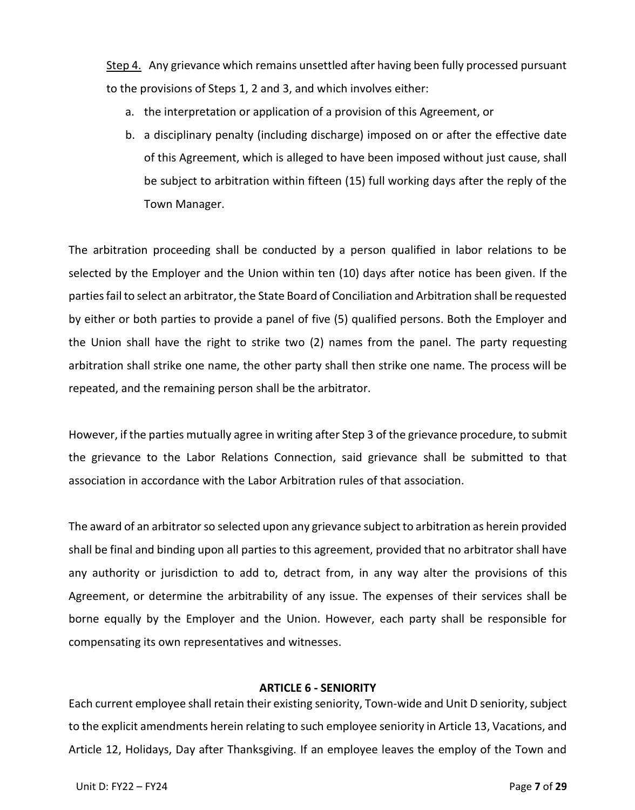Step 4. Any grievance which remains unsettled after having been fully processed pursuant to the provisions of Steps 1, 2 and 3, and which involves either:

- a. the interpretation or application of a provision of this Agreement, or
- b. a disciplinary penalty (including discharge) imposed on or after the effective date of this Agreement, which is alleged to have been imposed without just cause, shall be subject to arbitration within fifteen (15) full working days after the reply of the Town Manager.

The arbitration proceeding shall be conducted by a person qualified in labor relations to be selected by the Employer and the Union within ten (10) days after notice has been given. If the parties fail to select an arbitrator, the State Board of Conciliation and Arbitration shall be requested by either or both parties to provide a panel of five (5) qualified persons. Both the Employer and the Union shall have the right to strike two (2) names from the panel. The party requesting arbitration shall strike one name, the other party shall then strike one name. The process will be repeated, and the remaining person shall be the arbitrator.

However, if the parties mutually agree in writing after Step 3 of the grievance procedure, to submit the grievance to the Labor Relations Connection, said grievance shall be submitted to that association in accordance with the Labor Arbitration rules of that association.

The award of an arbitrator so selected upon any grievance subject to arbitration as herein provided shall be final and binding upon all parties to this agreement, provided that no arbitrator shall have any authority or jurisdiction to add to, detract from, in any way alter the provisions of this Agreement, or determine the arbitrability of any issue. The expenses of their services shall be borne equally by the Employer and the Union. However, each party shall be responsible for compensating its own representatives and witnesses.

### **ARTICLE 6 - SENIORITY**

<span id="page-6-0"></span>Each current employee shall retain their existing seniority, Town-wide and Unit D seniority, subject to the explicit amendments herein relating to such employee seniority in Article 13, Vacations, and Article 12, Holidays, Day after Thanksgiving. If an employee leaves the employ of the Town and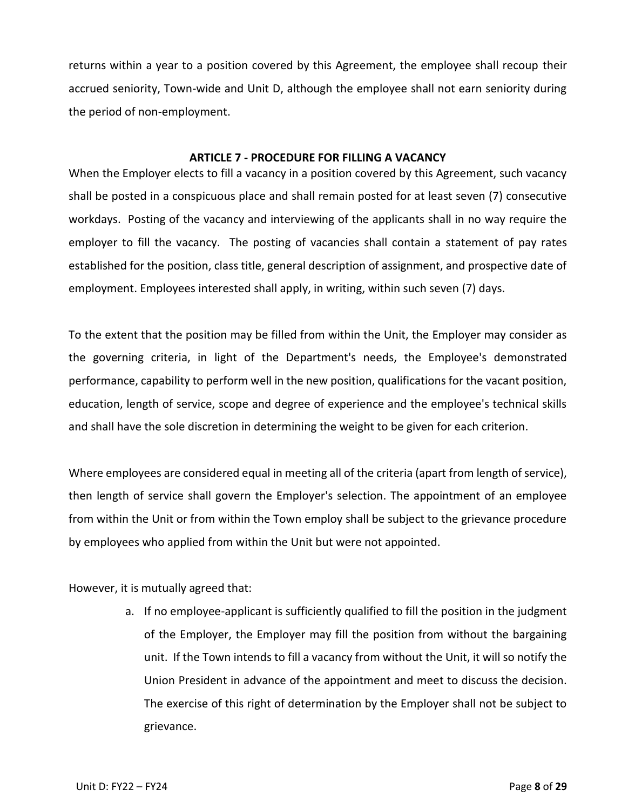returns within a year to a position covered by this Agreement, the employee shall recoup their accrued seniority, Town-wide and Unit D, although the employee shall not earn seniority during the period of non-employment.

# **ARTICLE 7 - PROCEDURE FOR FILLING A VACANCY**

<span id="page-7-0"></span>When the Employer elects to fill a vacancy in a position covered by this Agreement, such vacancy shall be posted in a conspicuous place and shall remain posted for at least seven (7) consecutive workdays. Posting of the vacancy and interviewing of the applicants shall in no way require the employer to fill the vacancy. The posting of vacancies shall contain a statement of pay rates established for the position, class title, general description of assignment, and prospective date of employment. Employees interested shall apply, in writing, within such seven (7) days.

To the extent that the position may be filled from within the Unit, the Employer may consider as the governing criteria, in light of the Department's needs, the Employee's demonstrated performance, capability to perform well in the new position, qualifications for the vacant position, education, length of service, scope and degree of experience and the employee's technical skills and shall have the sole discretion in determining the weight to be given for each criterion.

Where employees are considered equal in meeting all of the criteria (apart from length of service), then length of service shall govern the Employer's selection. The appointment of an employee from within the Unit or from within the Town employ shall be subject to the grievance procedure by employees who applied from within the Unit but were not appointed.

However, it is mutually agreed that:

a. If no employee-applicant is sufficiently qualified to fill the position in the judgment of the Employer, the Employer may fill the position from without the bargaining unit. If the Town intends to fill a vacancy from without the Unit, it will so notify the Union President in advance of the appointment and meet to discuss the decision. The exercise of this right of determination by the Employer shall not be subject to grievance.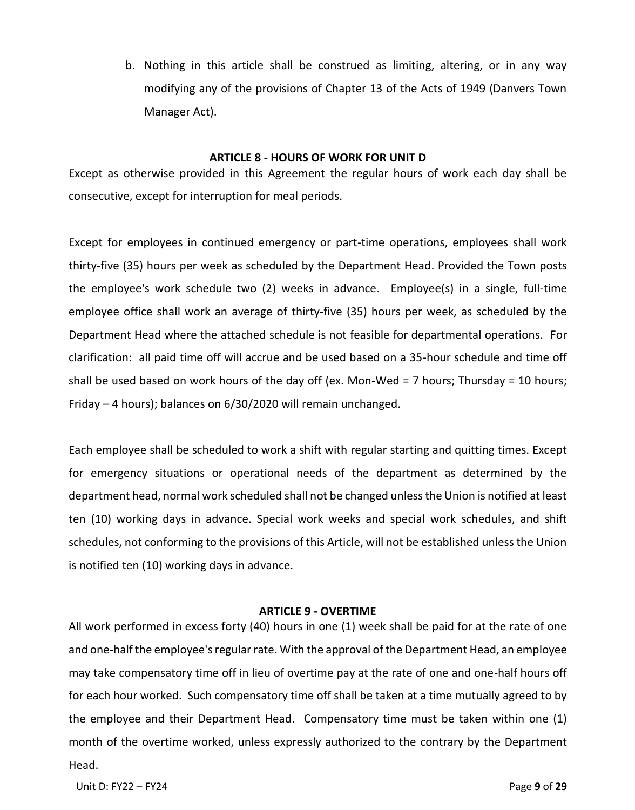b. Nothing in this article shall be construed as limiting, altering, or in any way modifying any of the provisions of Chapter 13 of the Acts of 1949 (Danvers Town Manager Act).

### **ARTICLE 8 - HOURS OF WORK FOR UNIT D**

<span id="page-8-0"></span>Except as otherwise provided in this Agreement the regular hours of work each day shall be consecutive, except for interruption for meal periods.

Except for employees in continued emergency or part-time operations, employees shall work thirty-five (35) hours per week as scheduled by the Department Head. Provided the Town posts the employee's work schedule two (2) weeks in advance. Employee(s) in a single, full-time employee office shall work an average of thirty-five (35) hours per week, as scheduled by the Department Head where the attached schedule is not feasible for departmental operations. For clarification: all paid time off will accrue and be used based on a 35-hour schedule and time off shall be used based on work hours of the day off (ex. Mon-Wed = 7 hours; Thursday = 10 hours; Friday – 4 hours); balances on 6/30/2020 will remain unchanged.

Each employee shall be scheduled to work a shift with regular starting and quitting times. Except for emergency situations or operational needs of the department as determined by the department head, normal work scheduled shall not be changed unless the Union is notified at least ten (10) working days in advance. Special work weeks and special work schedules, and shift schedules, not conforming to the provisions of this Article, will not be established unless the Union is notified ten (10) working days in advance.

### **ARTICLE 9 - OVERTIME**

<span id="page-8-1"></span>All work performed in excess forty (40) hours in one (1) week shall be paid for at the rate of one and one-half the employee's regular rate. With the approval of the Department Head, an employee may take compensatory time off in lieu of overtime pay at the rate of one and one-half hours off for each hour worked. Such compensatory time off shall be taken at a time mutually agreed to by the employee and their Department Head. Compensatory time must be taken within one (1) month of the overtime worked, unless expressly authorized to the contrary by the Department Head.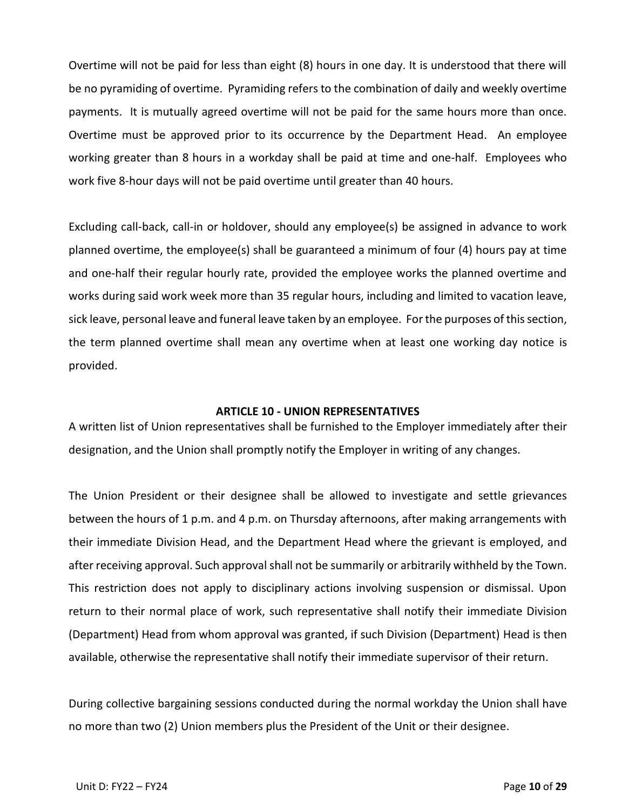Overtime will not be paid for less than eight (8) hours in one day. It is understood that there will be no pyramiding of overtime. Pyramiding refers to the combination of daily and weekly overtime payments. It is mutually agreed overtime will not be paid for the same hours more than once. Overtime must be approved prior to its occurrence by the Department Head. An employee working greater than 8 hours in a workday shall be paid at time and one-half. Employees who work five 8-hour days will not be paid overtime until greater than 40 hours.

Excluding call-back, call-in or holdover, should any employee(s) be assigned in advance to work planned overtime, the employee(s) shall be guaranteed a minimum of four (4) hours pay at time and one-half their regular hourly rate, provided the employee works the planned overtime and works during said work week more than 35 regular hours, including and limited to vacation leave, sick leave, personal leave and funeral leave taken by an employee. Forthe purposes of this section, the term planned overtime shall mean any overtime when at least one working day notice is provided.

### **ARTICLE 10 - UNION REPRESENTATIVES**

<span id="page-9-0"></span>A written list of Union representatives shall be furnished to the Employer immediately after their designation, and the Union shall promptly notify the Employer in writing of any changes.

The Union President or their designee shall be allowed to investigate and settle grievances between the hours of 1 p.m. and 4 p.m. on Thursday afternoons, after making arrangements with their immediate Division Head, and the Department Head where the grievant is employed, and after receiving approval. Such approval shall not be summarily or arbitrarily withheld by the Town. This restriction does not apply to disciplinary actions involving suspension or dismissal. Upon return to their normal place of work, such representative shall notify their immediate Division (Department) Head from whom approval was granted, if such Division (Department) Head is then available, otherwise the representative shall notify their immediate supervisor of their return.

During collective bargaining sessions conducted during the normal workday the Union shall have no more than two (2) Union members plus the President of the Unit or their designee.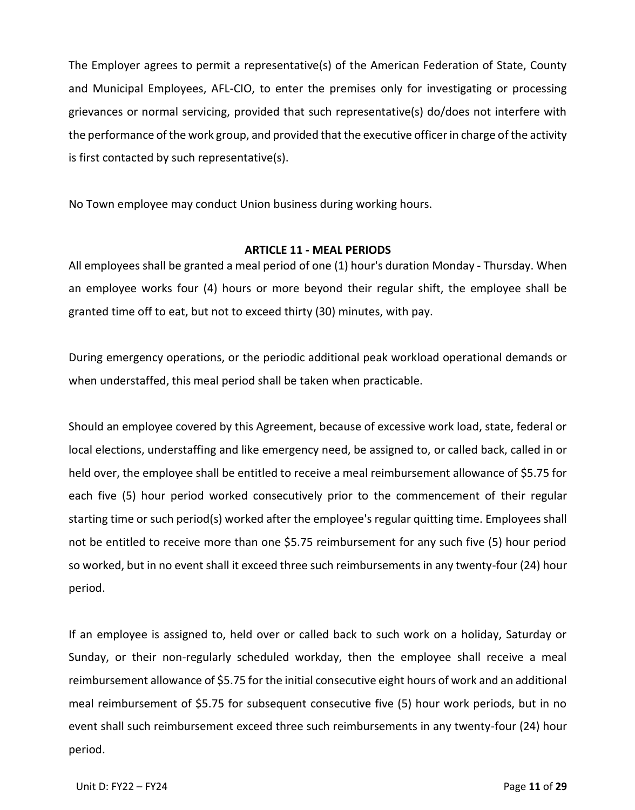The Employer agrees to permit a representative(s) of the American Federation of State, County and Municipal Employees, AFL-CIO, to enter the premises only for investigating or processing grievances or normal servicing, provided that such representative(s) do/does not interfere with the performance of the work group, and provided that the executive officer in charge of the activity is first contacted by such representative(s).

No Town employee may conduct Union business during working hours.

# **ARTICLE 11 - MEAL PERIODS**

<span id="page-10-0"></span>All employees shall be granted a meal period of one (1) hour's duration Monday - Thursday. When an employee works four (4) hours or more beyond their regular shift, the employee shall be granted time off to eat, but not to exceed thirty (30) minutes, with pay.

During emergency operations, or the periodic additional peak workload operational demands or when understaffed, this meal period shall be taken when practicable.

Should an employee covered by this Agreement, because of excessive work load, state, federal or local elections, understaffing and like emergency need, be assigned to, or called back, called in or held over, the employee shall be entitled to receive a meal reimbursement allowance of \$5.75 for each five (5) hour period worked consecutively prior to the commencement of their regular starting time or such period(s) worked after the employee's regular quitting time. Employees shall not be entitled to receive more than one \$5.75 reimbursement for any such five (5) hour period so worked, but in no event shall it exceed three such reimbursements in any twenty-four (24) hour period.

If an employee is assigned to, held over or called back to such work on a holiday, Saturday or Sunday, or their non-regularly scheduled workday, then the employee shall receive a meal reimbursement allowance of \$5.75 for the initial consecutive eight hours of work and an additional meal reimbursement of \$5.75 for subsequent consecutive five (5) hour work periods, but in no event shall such reimbursement exceed three such reimbursements in any twenty-four (24) hour period.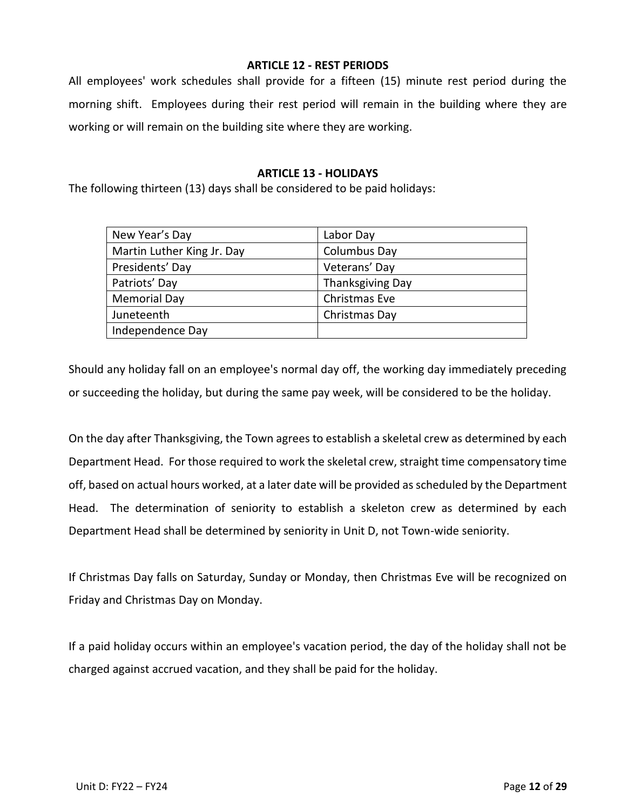# **ARTICLE 12 - REST PERIODS**

<span id="page-11-0"></span>All employees' work schedules shall provide for a fifteen (15) minute rest period during the morning shift. Employees during their rest period will remain in the building where they are working or will remain on the building site where they are working.

# **ARTICLE 13 - HOLIDAYS**

<span id="page-11-1"></span>The following thirteen (13) days shall be considered to be paid holidays:

| New Year's Day             | Labor Day               |
|----------------------------|-------------------------|
| Martin Luther King Jr. Day | Columbus Day            |
| Presidents' Day            | Veterans' Day           |
| Patriots' Day              | <b>Thanksgiving Day</b> |
| <b>Memorial Day</b>        | Christmas Eve           |
| Juneteenth                 | Christmas Day           |
| Independence Day           |                         |
|                            |                         |

Should any holiday fall on an employee's normal day off, the working day immediately preceding or succeeding the holiday, but during the same pay week, will be considered to be the holiday.

On the day after Thanksgiving, the Town agrees to establish a skeletal crew as determined by each Department Head. For those required to work the skeletal crew, straight time compensatory time off, based on actual hours worked, at a later date will be provided as scheduled by the Department Head. The determination of seniority to establish a skeleton crew as determined by each Department Head shall be determined by seniority in Unit D, not Town-wide seniority.

If Christmas Day falls on Saturday, Sunday or Monday, then Christmas Eve will be recognized on Friday and Christmas Day on Monday.

If a paid holiday occurs within an employee's vacation period, the day of the holiday shall not be charged against accrued vacation, and they shall be paid for the holiday.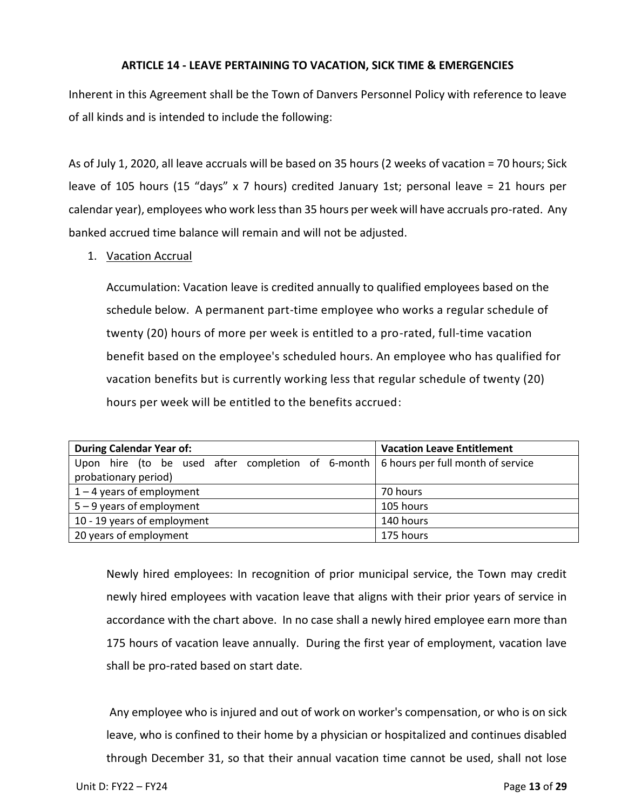### **ARTICLE 14 - LEAVE PERTAINING TO VACATION, SICK TIME & EMERGENCIES**

<span id="page-12-0"></span>Inherent in this Agreement shall be the Town of Danvers Personnel Policy with reference to leave of all kinds and is intended to include the following:

As of July 1, 2020, all leave accruals will be based on 35 hours (2 weeks of vacation = 70 hours; Sick leave of 105 hours (15 "days" x 7 hours) credited January 1st; personal leave = 21 hours per calendar year), employees who work less than 35 hours per week will have accruals pro-rated. Any banked accrued time balance will remain and will not be adjusted.

# 1. Vacation Accrual

Accumulation: Vacation leave is credited annually to qualified employees based on the schedule below. A permanent part-time employee who works a regular schedule of twenty (20) hours of more per week is entitled to a pro-rated, full-time vacation benefit based on the employee's scheduled hours. An employee who has qualified for vacation benefits but is currently working less that regular schedule of twenty (20) hours per week will be entitled to the benefits accrued:

| <b>During Calendar Year of:</b>                                                                      | <b>Vacation Leave Entitlement</b> |
|------------------------------------------------------------------------------------------------------|-----------------------------------|
| Upon hire (to be used after completion of $6$ -month $\frac{1}{6}$ folours per full month of service |                                   |
| probationary period)                                                                                 |                                   |
| $1 - 4$ years of employment                                                                          | 70 hours                          |
| $5 - 9$ years of employment                                                                          | 105 hours                         |
| 10 - 19 years of employment                                                                          | 140 hours                         |
| 20 years of employment                                                                               | 175 hours                         |

Newly hired employees: In recognition of prior municipal service, the Town may credit newly hired employees with vacation leave that aligns with their prior years of service in accordance with the chart above. In no case shall a newly hired employee earn more than 175 hours of vacation leave annually. During the first year of employment, vacation lave shall be pro-rated based on start date.

Any employee who is injured and out of work on worker's compensation, or who is on sick leave, who is confined to their home by a physician or hospitalized and continues disabled through December 31, so that their annual vacation time cannot be used, shall not lose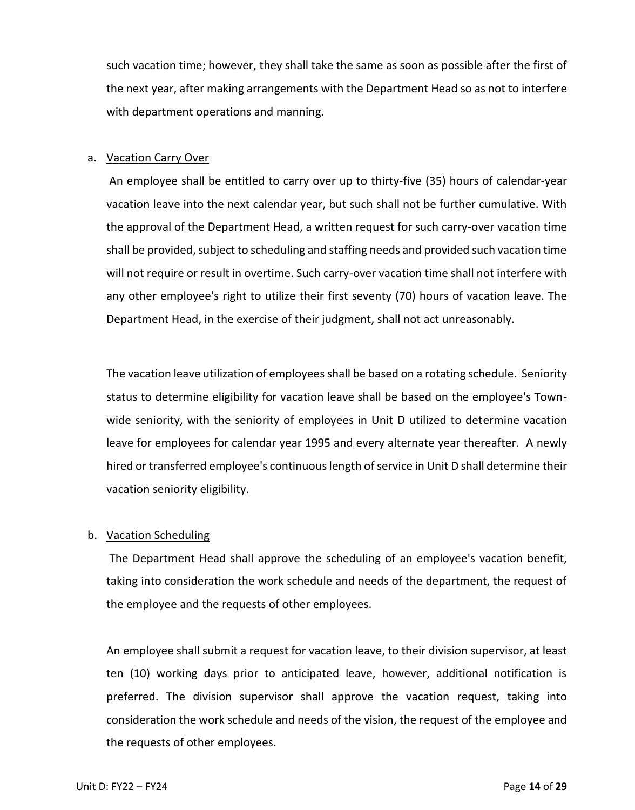such vacation time; however, they shall take the same as soon as possible after the first of the next year, after making arrangements with the Department Head so as not to interfere with department operations and manning.

### a. Vacation Carry Over

An employee shall be entitled to carry over up to thirty-five (35) hours of calendar-year vacation leave into the next calendar year, but such shall not be further cumulative. With the approval of the Department Head, a written request for such carry-over vacation time shall be provided, subject to scheduling and staffing needs and provided such vacation time will not require or result in overtime. Such carry-over vacation time shall not interfere with any other employee's right to utilize their first seventy (70) hours of vacation leave. The Department Head, in the exercise of their judgment, shall not act unreasonably.

The vacation leave utilization of employees shall be based on a rotating schedule. Seniority status to determine eligibility for vacation leave shall be based on the employee's Townwide seniority, with the seniority of employees in Unit D utilized to determine vacation leave for employees for calendar year 1995 and every alternate year thereafter. A newly hired or transferred employee's continuous length of service in Unit D shall determine their vacation seniority eligibility.

# b. Vacation Scheduling

The Department Head shall approve the scheduling of an employee's vacation benefit, taking into consideration the work schedule and needs of the department, the request of the employee and the requests of other employees.

An employee shall submit a request for vacation leave, to their division supervisor, at least ten (10) working days prior to anticipated leave, however, additional notification is preferred. The division supervisor shall approve the vacation request, taking into consideration the work schedule and needs of the vision, the request of the employee and the requests of other employees.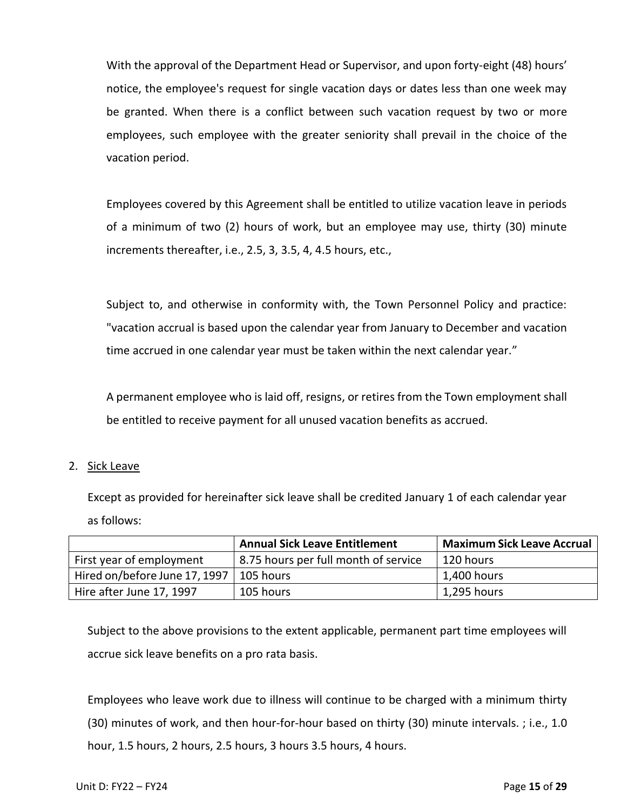With the approval of the Department Head or Supervisor, and upon forty-eight (48) hours' notice, the employee's request for single vacation days or dates less than one week may be granted. When there is a conflict between such vacation request by two or more employees, such employee with the greater seniority shall prevail in the choice of the vacation period.

Employees covered by this Agreement shall be entitled to utilize vacation leave in periods of a minimum of two (2) hours of work, but an employee may use, thirty (30) minute increments thereafter, i.e., 2.5, 3, 3.5, 4, 4.5 hours, etc.,

Subject to, and otherwise in conformity with, the Town Personnel Policy and practice: "vacation accrual is based upon the calendar year from January to December and vacation time accrued in one calendar year must be taken within the next calendar year."

A permanent employee who is laid off, resigns, or retires from the Town employment shall be entitled to receive payment for all unused vacation benefits as accrued.

# 2. Sick Leave

Except as provided for hereinafter sick leave shall be credited January 1 of each calendar year as follows:

|                                           | <b>Annual Sick Leave Entitlement</b> | <b>Maximum Sick Leave Accrual</b> |
|-------------------------------------------|--------------------------------------|-----------------------------------|
| First year of employment                  | 8.75 hours per full month of service | 120 hours                         |
| Hired on/before June 17, 1997   105 hours |                                      | 1,400 hours                       |
| Hire after June 17, 1997                  | 105 hours                            | 1,295 hours                       |

Subject to the above provisions to the extent applicable, permanent part time employees will accrue sick leave benefits on a pro rata basis.

Employees who leave work due to illness will continue to be charged with a minimum thirty (30) minutes of work, and then hour-for-hour based on thirty (30) minute intervals. ; i.e., 1.0 hour, 1.5 hours, 2 hours, 2.5 hours, 3 hours 3.5 hours, 4 hours.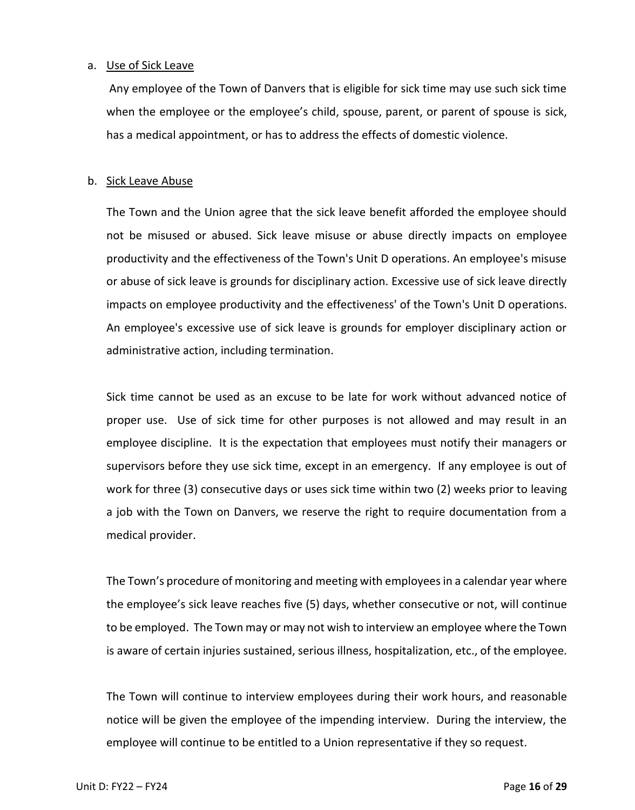### a. Use of Sick Leave

Any employee of the Town of Danvers that is eligible for sick time may use such sick time when the employee or the employee's child, spouse, parent, or parent of spouse is sick, has a medical appointment, or has to address the effects of domestic violence.

### b. Sick Leave Abuse

The Town and the Union agree that the sick leave benefit afforded the employee should not be misused or abused. Sick leave misuse or abuse directly impacts on employee productivity and the effectiveness of the Town's Unit D operations. An employee's misuse or abuse of sick leave is grounds for disciplinary action. Excessive use of sick leave directly impacts on employee productivity and the effectiveness' of the Town's Unit D operations. An employee's excessive use of sick leave is grounds for employer disciplinary action or administrative action, including termination.

Sick time cannot be used as an excuse to be late for work without advanced notice of proper use. Use of sick time for other purposes is not allowed and may result in an employee discipline. It is the expectation that employees must notify their managers or supervisors before they use sick time, except in an emergency. If any employee is out of work for three (3) consecutive days or uses sick time within two (2) weeks prior to leaving a job with the Town on Danvers, we reserve the right to require documentation from a medical provider.

The Town's procedure of monitoring and meeting with employees in a calendar year where the employee's sick leave reaches five (5) days, whether consecutive or not, will continue to be employed. The Town may or may not wish to interview an employee where the Town is aware of certain injuries sustained, serious illness, hospitalization, etc., of the employee.

The Town will continue to interview employees during their work hours, and reasonable notice will be given the employee of the impending interview. During the interview, the employee will continue to be entitled to a Union representative if they so request.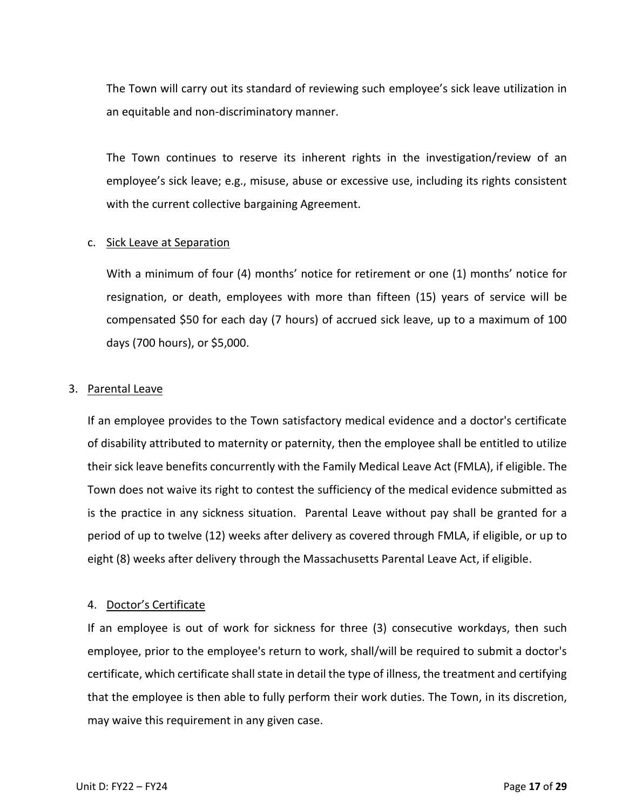The Town will carry out its standard of reviewing such employee's sick leave utilization in an equitable and non-discriminatory manner.

The Town continues to reserve its inherent rights in the investigation/review of an employee's sick leave; e.g., misuse, abuse or excessive use, including its rights consistent with the current collective bargaining Agreement.

# c. Sick Leave at Separation

With a minimum of four (4) months' notice for retirement or one (1) months' notice for resignation, or death, employees with more than fifteen (15) years of service will be compensated \$50 for each day (7 hours) of accrued sick leave, up to a maximum of 100 days (700 hours), or \$5,000.

# 3. Parental Leave

If an employee provides to the Town satisfactory medical evidence and a doctor's certificate of disability attributed to maternity or paternity, then the employee shall be entitled to utilize their sick leave benefits concurrently with the Family Medical Leave Act (FMLA), if eligible. The Town does not waive its right to contest the sufficiency of the medical evidence submitted as is the practice in any sickness situation. Parental Leave without pay shall be granted for a period of up to twelve (12) weeks after delivery as covered through FMLA, if eligible, or up to eight (8) weeks after delivery through the Massachusetts Parental Leave Act, if eligible.

# 4. Doctor's Certificate

If an employee is out of work for sickness for three (3) consecutive workdays, then such employee, prior to the employee's return to work, shall/will be required to submit a doctor's certificate, which certificate shall state in detail the type of illness, the treatment and certifying that the employee is then able to fully perform their work duties. The Town, in its discretion, may waive this requirement in any given case.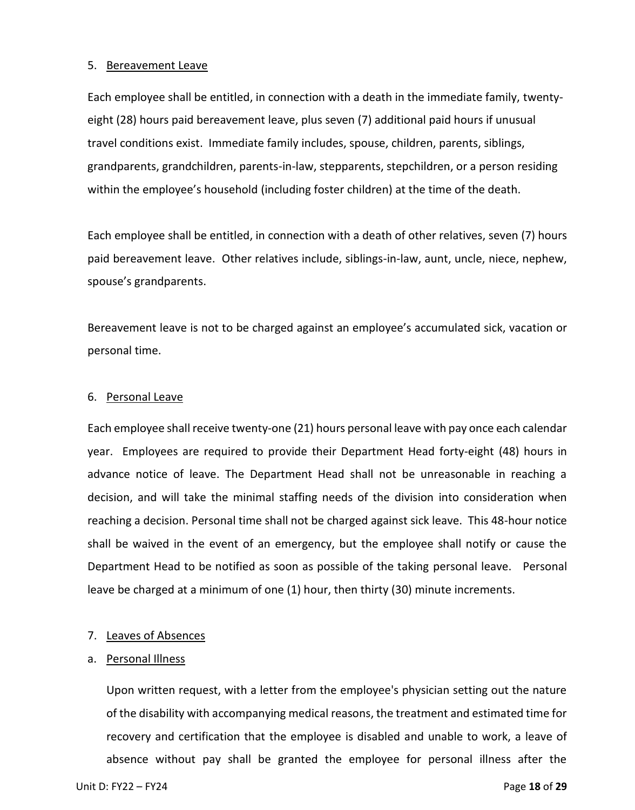#### 5. Bereavement Leave

Each employee shall be entitled, in connection with a death in the immediate family, twentyeight (28) hours paid bereavement leave, plus seven (7) additional paid hours if unusual travel conditions exist. Immediate family includes, spouse, children, parents, siblings, grandparents, grandchildren, parents-in-law, stepparents, stepchildren, or a person residing within the employee's household (including foster children) at the time of the death.

Each employee shall be entitled, in connection with a death of other relatives, seven (7) hours paid bereavement leave. Other relatives include, siblings-in-law, aunt, uncle, niece, nephew, spouse's grandparents.

Bereavement leave is not to be charged against an employee's accumulated sick, vacation or personal time.

### 6. Personal Leave

Each employee shall receive twenty-one (21) hours personal leave with pay once each calendar year. Employees are required to provide their Department Head forty-eight (48) hours in advance notice of leave. The Department Head shall not be unreasonable in reaching a decision, and will take the minimal staffing needs of the division into consideration when reaching a decision. Personal time shall not be charged against sick leave. This 48-hour notice shall be waived in the event of an emergency, but the employee shall notify or cause the Department Head to be notified as soon as possible of the taking personal leave. Personal leave be charged at a minimum of one (1) hour, then thirty (30) minute increments.

### 7. Leaves of Absences

### a. Personal Illness

Upon written request, with a letter from the employee's physician setting out the nature of the disability with accompanying medical reasons, the treatment and estimated time for recovery and certification that the employee is disabled and unable to work, a leave of absence without pay shall be granted the employee for personal illness after the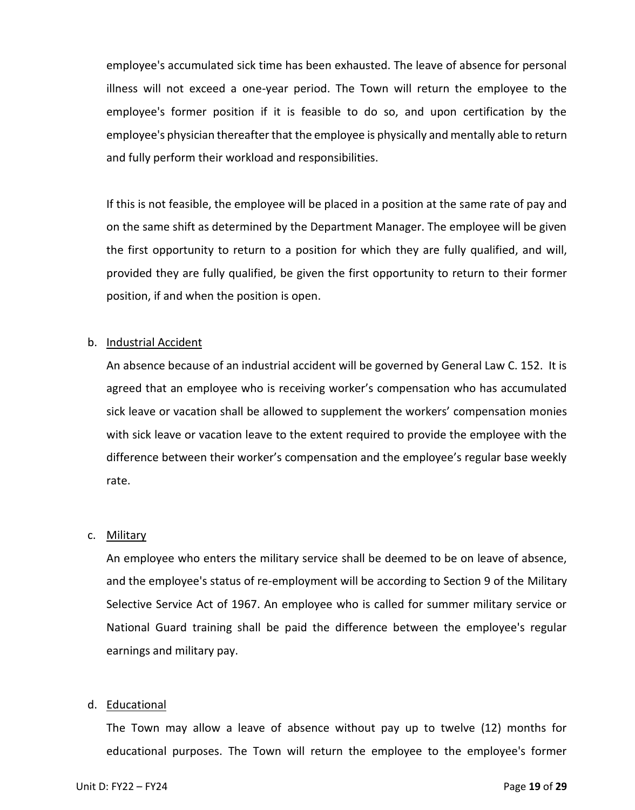employee's accumulated sick time has been exhausted. The leave of absence for personal illness will not exceed a one-year period. The Town will return the employee to the employee's former position if it is feasible to do so, and upon certification by the employee's physician thereafter that the employee is physically and mentally able to return and fully perform their workload and responsibilities.

If this is not feasible, the employee will be placed in a position at the same rate of pay and on the same shift as determined by the Department Manager. The employee will be given the first opportunity to return to a position for which they are fully qualified, and will, provided they are fully qualified, be given the first opportunity to return to their former position, if and when the position is open.

### b. Industrial Accident

An absence because of an industrial accident will be governed by General Law C. 152. It is agreed that an employee who is receiving worker's compensation who has accumulated sick leave or vacation shall be allowed to supplement the workers' compensation monies with sick leave or vacation leave to the extent required to provide the employee with the difference between their worker's compensation and the employee's regular base weekly rate.

### c. Military

An employee who enters the military service shall be deemed to be on leave of absence, and the employee's status of re-employment will be according to Section 9 of the Military Selective Service Act of 1967. An employee who is called for summer military service or National Guard training shall be paid the difference between the employee's regular earnings and military pay.

# d. Educational

The Town may allow a leave of absence without pay up to twelve (12) months for educational purposes. The Town will return the employee to the employee's former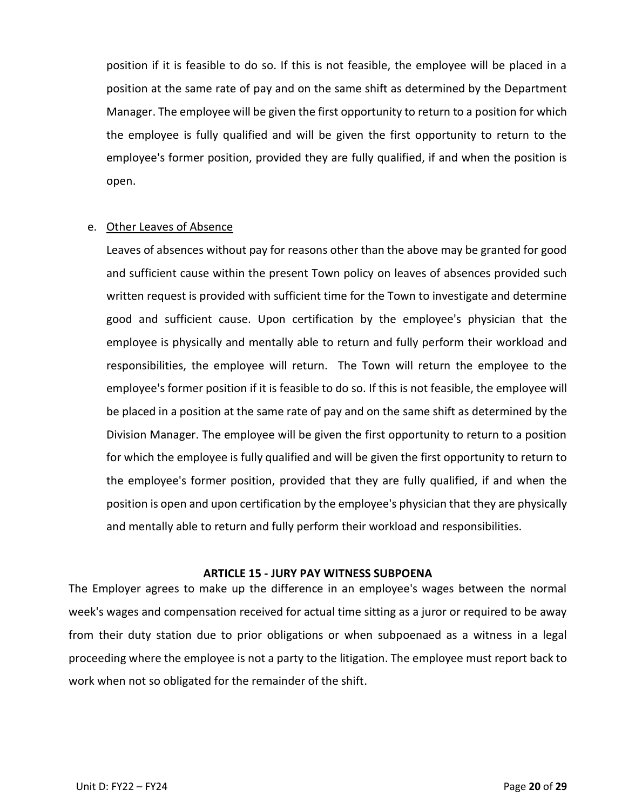position if it is feasible to do so. If this is not feasible, the employee will be placed in a position at the same rate of pay and on the same shift as determined by the Department Manager. The employee will be given the first opportunity to return to a position for which the employee is fully qualified and will be given the first opportunity to return to the employee's former position, provided they are fully qualified, if and when the position is open.

### e. Other Leaves of Absence

Leaves of absences without pay for reasons other than the above may be granted for good and sufficient cause within the present Town policy on leaves of absences provided such written request is provided with sufficient time for the Town to investigate and determine good and sufficient cause. Upon certification by the employee's physician that the employee is physically and mentally able to return and fully perform their workload and responsibilities, the employee will return. The Town will return the employee to the employee's former position if it is feasible to do so. If this is not feasible, the employee will be placed in a position at the same rate of pay and on the same shift as determined by the Division Manager. The employee will be given the first opportunity to return to a position for which the employee is fully qualified and will be given the first opportunity to return to the employee's former position, provided that they are fully qualified, if and when the position is open and upon certification by the employee's physician that they are physically and mentally able to return and fully perform their workload and responsibilities.

### **ARTICLE 15 - JURY PAY WITNESS SUBPOENA**

<span id="page-19-0"></span>The Employer agrees to make up the difference in an employee's wages between the normal week's wages and compensation received for actual time sitting as a juror or required to be away from their duty station due to prior obligations or when subpoenaed as a witness in a legal proceeding where the employee is not a party to the litigation. The employee must report back to work when not so obligated for the remainder of the shift.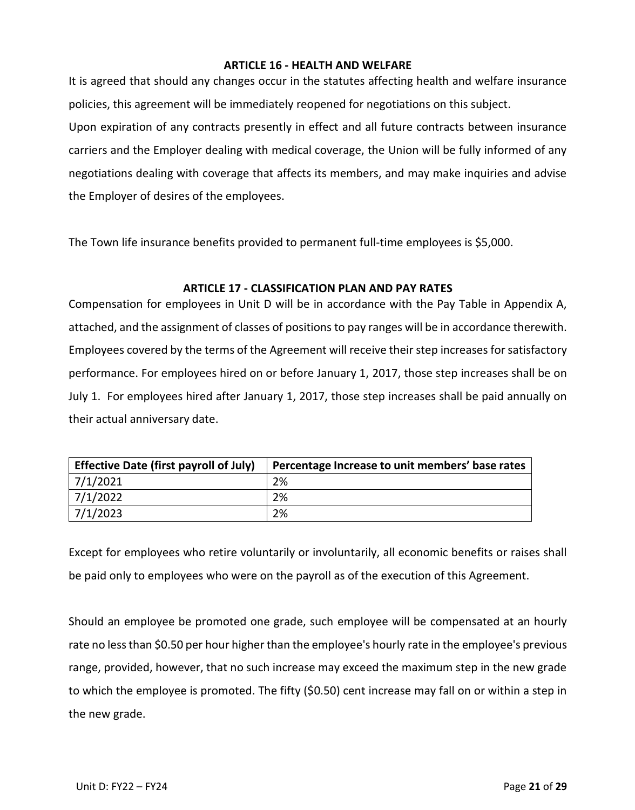# **ARTICLE 16 - HEALTH AND WELFARE**

<span id="page-20-0"></span>It is agreed that should any changes occur in the statutes affecting health and welfare insurance policies, this agreement will be immediately reopened for negotiations on this subject. Upon expiration of any contracts presently in effect and all future contracts between insurance carriers and the Employer dealing with medical coverage, the Union will be fully informed of any negotiations dealing with coverage that affects its members, and may make inquiries and advise the Employer of desires of the employees.

The Town life insurance benefits provided to permanent full-time employees is \$5,000.

# **ARTICLE 17 - CLASSIFICATION PLAN AND PAY RATES**

<span id="page-20-1"></span>Compensation for employees in Unit D will be in accordance with the Pay Table in Appendix A, attached, and the assignment of classes of positions to pay ranges will be in accordance therewith. Employees covered by the terms of the Agreement will receive their step increases for satisfactory performance. For employees hired on or before January 1, 2017, those step increases shall be on July 1. For employees hired after January 1, 2017, those step increases shall be paid annually on their actual anniversary date.

| <b>Effective Date (first payroll of July)</b> | Percentage Increase to unit members' base rates |
|-----------------------------------------------|-------------------------------------------------|
| 7/1/2021                                      | 2%                                              |
| 7/1/2022                                      | 2%                                              |
| 7/1/2023                                      | 2%                                              |

Except for employees who retire voluntarily or involuntarily, all economic benefits or raises shall be paid only to employees who were on the payroll as of the execution of this Agreement.

Should an employee be promoted one grade, such employee will be compensated at an hourly rate no less than \$0.50 per hour higher than the employee's hourly rate in the employee's previous range, provided, however, that no such increase may exceed the maximum step in the new grade to which the employee is promoted. The fifty (\$0.50) cent increase may fall on or within a step in the new grade.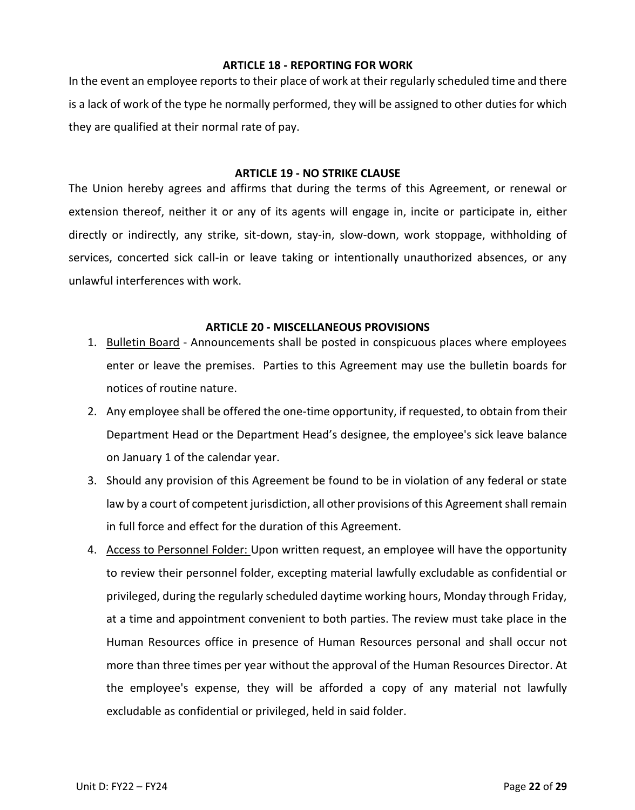### **ARTICLE 18 - REPORTING FOR WORK**

<span id="page-21-0"></span>In the event an employee reports to their place of work at their regularly scheduled time and there is a lack of work of the type he normally performed, they will be assigned to other duties for which they are qualified at their normal rate of pay.

### **ARTICLE 19 - NO STRIKE CLAUSE**

<span id="page-21-1"></span>The Union hereby agrees and affirms that during the terms of this Agreement, or renewal or extension thereof, neither it or any of its agents will engage in, incite or participate in, either directly or indirectly, any strike, sit-down, stay-in, slow-down, work stoppage, withholding of services, concerted sick call-in or leave taking or intentionally unauthorized absences, or any unlawful interferences with work.

# **ARTICLE 20 - MISCELLANEOUS PROVISIONS**

- <span id="page-21-2"></span>1. Bulletin Board - Announcements shall be posted in conspicuous places where employees enter or leave the premises. Parties to this Agreement may use the bulletin boards for notices of routine nature.
- 2. Any employee shall be offered the one-time opportunity, if requested, to obtain from their Department Head or the Department Head's designee, the employee's sick leave balance on January 1 of the calendar year.
- 3. Should any provision of this Agreement be found to be in violation of any federal or state law by a court of competent jurisdiction, all other provisions of this Agreement shall remain in full force and effect for the duration of this Agreement.
- 4. Access to Personnel Folder: Upon written request, an employee will have the opportunity to review their personnel folder, excepting material lawfully excludable as confidential or privileged, during the regularly scheduled daytime working hours, Monday through Friday, at a time and appointment convenient to both parties. The review must take place in the Human Resources office in presence of Human Resources personal and shall occur not more than three times per year without the approval of the Human Resources Director. At the employee's expense, they will be afforded a copy of any material not lawfully excludable as confidential or privileged, held in said folder.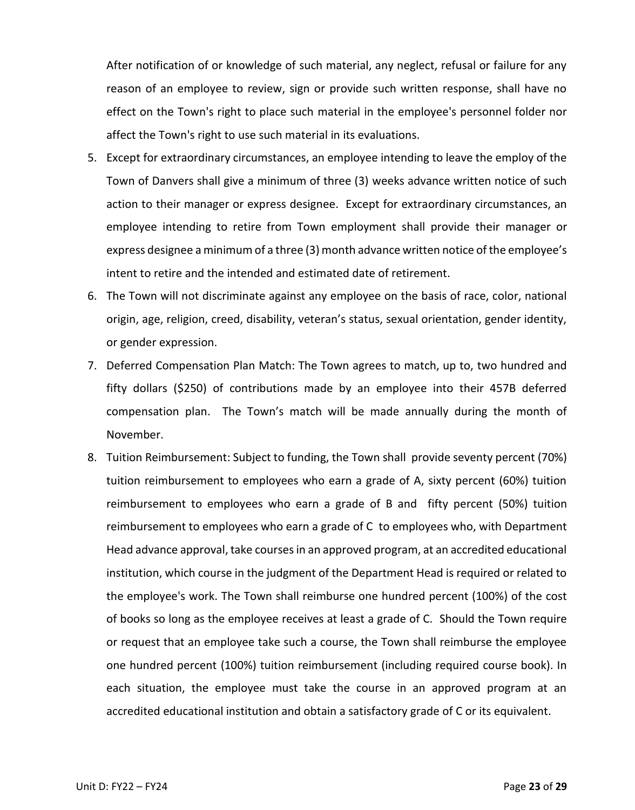After notification of or knowledge of such material, any neglect, refusal or failure for any reason of an employee to review, sign or provide such written response, shall have no effect on the Town's right to place such material in the employee's personnel folder nor affect the Town's right to use such material in its evaluations.

- 5. Except for extraordinary circumstances, an employee intending to leave the employ of the Town of Danvers shall give a minimum of three (3) weeks advance written notice of such action to their manager or express designee. Except for extraordinary circumstances, an employee intending to retire from Town employment shall provide their manager or express designee a minimum of a three (3) month advance written notice of the employee's intent to retire and the intended and estimated date of retirement.
- 6. The Town will not discriminate against any employee on the basis of race, color, national origin, age, religion, creed, disability, veteran's status, sexual orientation, gender identity, or gender expression.
- 7. Deferred Compensation Plan Match: The Town agrees to match, up to, two hundred and fifty dollars (\$250) of contributions made by an employee into their 457B deferred compensation plan. The Town's match will be made annually during the month of November.
- 8. Tuition Reimbursement: Subject to funding, the Town shall provide seventy percent (70%) tuition reimbursement to employees who earn a grade of A, sixty percent (60%) tuition reimbursement to employees who earn a grade of B and fifty percent (50%) tuition reimbursement to employees who earn a grade of C to employees who, with Department Head advance approval, take courses in an approved program, at an accredited educational institution, which course in the judgment of the Department Head is required or related to the employee's work. The Town shall reimburse one hundred percent (100%) of the cost of books so long as the employee receives at least a grade of C. Should the Town require or request that an employee take such a course, the Town shall reimburse the employee one hundred percent (100%) tuition reimbursement (including required course book). In each situation, the employee must take the course in an approved program at an accredited educational institution and obtain a satisfactory grade of C or its equivalent.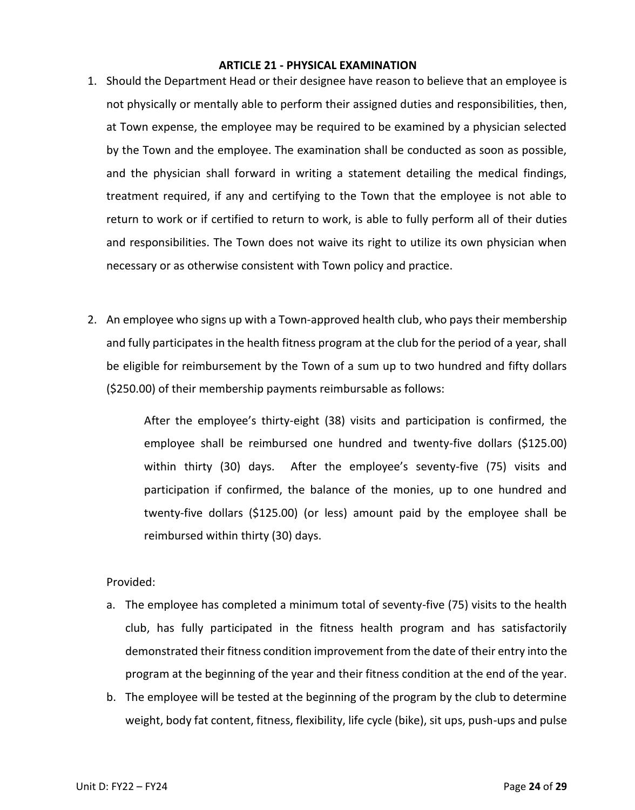### **ARTICLE 21 - PHYSICAL EXAMINATION**

- <span id="page-23-0"></span>1. Should the Department Head or their designee have reason to believe that an employee is not physically or mentally able to perform their assigned duties and responsibilities, then, at Town expense, the employee may be required to be examined by a physician selected by the Town and the employee. The examination shall be conducted as soon as possible, and the physician shall forward in writing a statement detailing the medical findings, treatment required, if any and certifying to the Town that the employee is not able to return to work or if certified to return to work, is able to fully perform all of their duties and responsibilities. The Town does not waive its right to utilize its own physician when necessary or as otherwise consistent with Town policy and practice.
- 2. An employee who signs up with a Town-approved health club, who pays their membership and fully participates in the health fitness program at the club for the period of a year, shall be eligible for reimbursement by the Town of a sum up to two hundred and fifty dollars (\$250.00) of their membership payments reimbursable as follows:

After the employee's thirty-eight (38) visits and participation is confirmed, the employee shall be reimbursed one hundred and twenty-five dollars (\$125.00) within thirty (30) days. After the employee's seventy-five (75) visits and participation if confirmed, the balance of the monies, up to one hundred and twenty-five dollars (\$125.00) (or less) amount paid by the employee shall be reimbursed within thirty (30) days.

# Provided:

- a. The employee has completed a minimum total of seventy-five (75) visits to the health club, has fully participated in the fitness health program and has satisfactorily demonstrated their fitness condition improvement from the date of their entry into the program at the beginning of the year and their fitness condition at the end of the year.
- b. The employee will be tested at the beginning of the program by the club to determine weight, body fat content, fitness, flexibility, life cycle (bike), sit ups, push-ups and pulse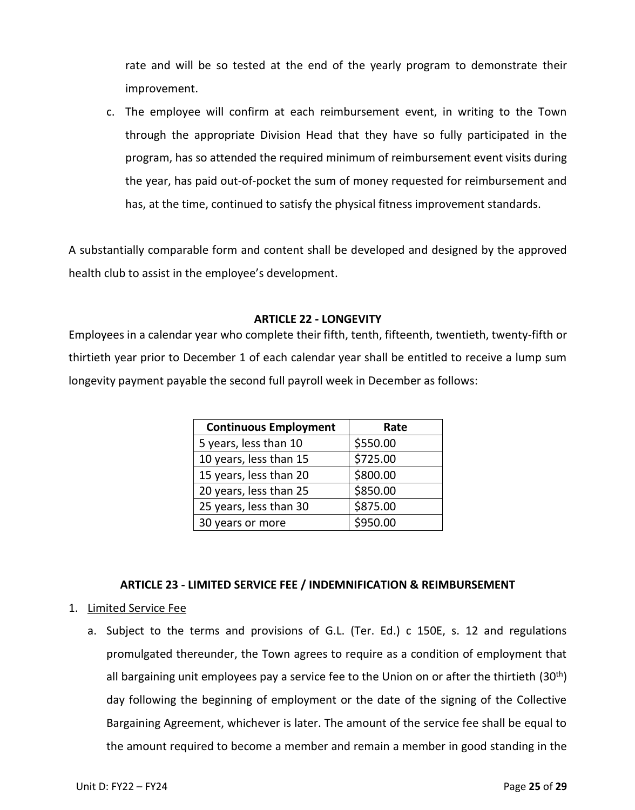rate and will be so tested at the end of the yearly program to demonstrate their improvement.

c. The employee will confirm at each reimbursement event, in writing to the Town through the appropriate Division Head that they have so fully participated in the program, has so attended the required minimum of reimbursement event visits during the year, has paid out-of-pocket the sum of money requested for reimbursement and has, at the time, continued to satisfy the physical fitness improvement standards.

A substantially comparable form and content shall be developed and designed by the approved health club to assist in the employee's development.

# **ARTICLE 22 - LONGEVITY**

<span id="page-24-0"></span>Employees in a calendar year who complete their fifth, tenth, fifteenth, twentieth, twenty-fifth or thirtieth year prior to December 1 of each calendar year shall be entitled to receive a lump sum longevity payment payable the second full payroll week in December as follows:

| <b>Continuous Employment</b> | Rate     |
|------------------------------|----------|
| 5 years, less than 10        | \$550.00 |
| 10 years, less than 15       | \$725.00 |
| 15 years, less than 20       | \$800.00 |
| 20 years, less than 25       | \$850.00 |
| 25 years, less than 30       | \$875.00 |
| 30 years or more             | \$950.00 |

# **ARTICLE 23 - LIMITED SERVICE FEE / INDEMNIFICATION & REIMBURSEMENT**

- 1. Limited Service Fee
	- a. Subject to the terms and provisions of G.L. (Ter. Ed.) c 150E, s. 12 and regulations promulgated thereunder, the Town agrees to require as a condition of employment that all bargaining unit employees pay a service fee to the Union on or after the thirtieth  $(30<sup>th</sup>)$ day following the beginning of employment or the date of the signing of the Collective Bargaining Agreement, whichever is later. The amount of the service fee shall be equal to the amount required to become a member and remain a member in good standing in the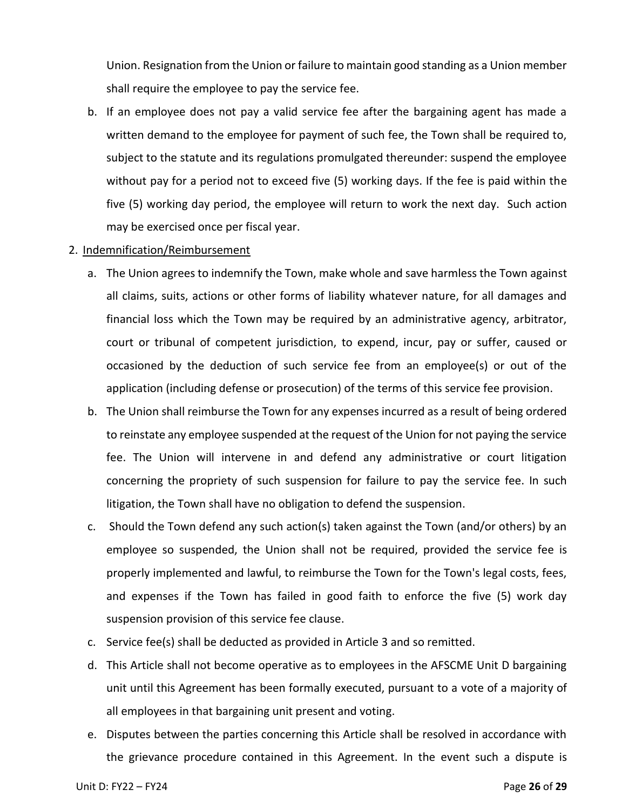Union. Resignation from the Union or failure to maintain good standing as a Union member shall require the employee to pay the service fee.

b. If an employee does not pay a valid service fee after the bargaining agent has made a written demand to the employee for payment of such fee, the Town shall be required to, subject to the statute and its regulations promulgated thereunder: suspend the employee without pay for a period not to exceed five (5) working days. If the fee is paid within the five (5) working day period, the employee will return to work the next day. Such action may be exercised once per fiscal year.

### 2. Indemnification/Reimbursement

- a. The Union agrees to indemnify the Town, make whole and save harmless the Town against all claims, suits, actions or other forms of liability whatever nature, for all damages and financial loss which the Town may be required by an administrative agency, arbitrator, court or tribunal of competent jurisdiction, to expend, incur, pay or suffer, caused or occasioned by the deduction of such service fee from an employee(s) or out of the application (including defense or prosecution) of the terms of this service fee provision.
- b. The Union shall reimburse the Town for any expenses incurred as a result of being ordered to reinstate any employee suspended at the request of the Union for not paying the service fee. The Union will intervene in and defend any administrative or court litigation concerning the propriety of such suspension for failure to pay the service fee. In such litigation, the Town shall have no obligation to defend the suspension.
- c. Should the Town defend any such action(s) taken against the Town (and/or others) by an employee so suspended, the Union shall not be required, provided the service fee is properly implemented and lawful, to reimburse the Town for the Town's legal costs, fees, and expenses if the Town has failed in good faith to enforce the five (5) work day suspension provision of this service fee clause.
- c. Service fee(s) shall be deducted as provided in Article 3 and so remitted.
- d. This Article shall not become operative as to employees in the AFSCME Unit D bargaining unit until this Agreement has been formally executed, pursuant to a vote of a majority of all employees in that bargaining unit present and voting.
- e. Disputes between the parties concerning this Article shall be resolved in accordance with the grievance procedure contained in this Agreement. In the event such a dispute is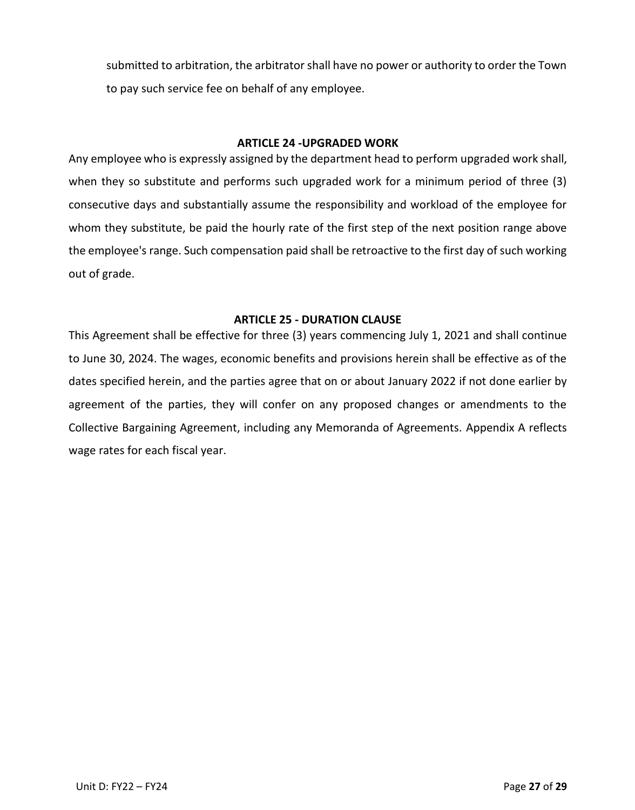submitted to arbitration, the arbitrator shall have no power or authority to order the Town to pay such service fee on behalf of any employee.

### **ARTICLE 24 -UPGRADED WORK**

<span id="page-26-0"></span>Any employee who is expressly assigned by the department head to perform upgraded work shall, when they so substitute and performs such upgraded work for a minimum period of three (3) consecutive days and substantially assume the responsibility and workload of the employee for whom they substitute, be paid the hourly rate of the first step of the next position range above the employee's range. Such compensation paid shall be retroactive to the first day of such working out of grade.

# **ARTICLE 25 - DURATION CLAUSE**

<span id="page-26-1"></span>This Agreement shall be effective for three (3) years commencing July 1, 2021 and shall continue to June 30, 2024. The wages, economic benefits and provisions herein shall be effective as of the dates specified herein, and the parties agree that on or about January 2022 if not done earlier by agreement of the parties, they will confer on any proposed changes or amendments to the Collective Bargaining Agreement, including any Memoranda of Agreements. Appendix A reflects wage rates for each fiscal year.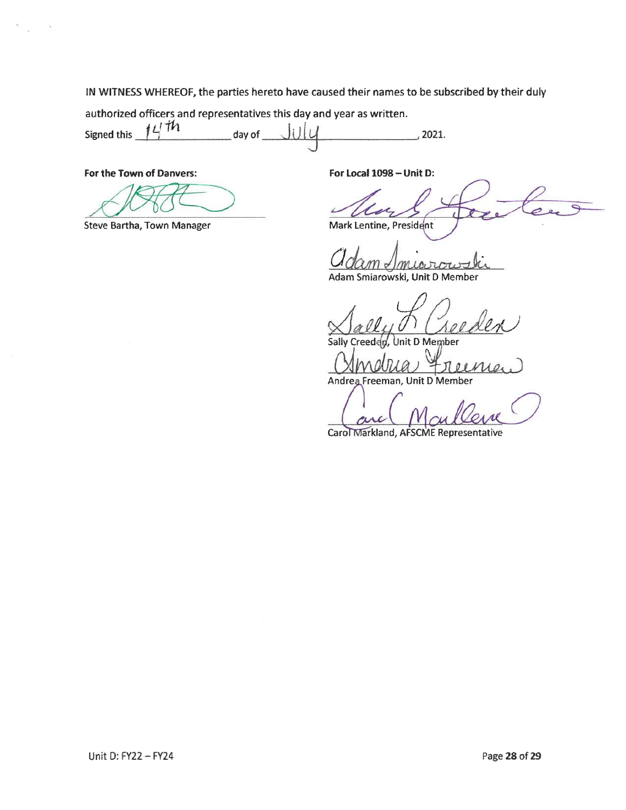IN WITNESS WHEREOF, the parties hereto have caused their names to be subscribed by their duly

authorized officers and representatives this day and year as written.

 $11th$ Signed this UIL day of  $\_\_$  $\frac{2021}{202}$ 

For the Town of Danvers:

**Steve Bartha, Town Manager** 

For Local 1098 - Unit D:

Mark Lentine, President

Adam Smiarowski, Unit D Member

Unit D Member Sally nie

Andrea Freeman, Unit D Member

Carol Markland, AFSCME Representative